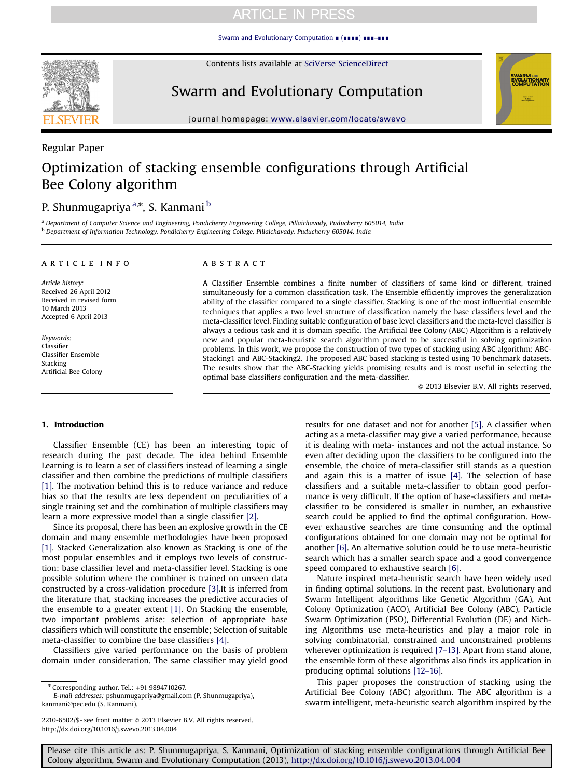## **ARTICLE IN PRESS**

[Swarm and Evolutionary Computation](http://dx.doi.org/10.1016/j.swevo.2013.04.004) ∎ (∎∎∎∎) ∎∎∎–∎∎∎

**SEVIER** 

Regular Paper

Contents lists available at [SciVerse ScienceDirect](www.elsevier.com/locate/swevo)

Swarm and Evolutionary Computation



journal homepage: <www.elsevier.com/locate/swevo>kol/locate/swevokol/locate/swevokol/locate/swevokol/locate/swevokol/locate/swevokol/locate/swevokol/locate/swevokol/locate/swevokol/locate/swevokol/locate/swevokol/locate/swe

# Optimization of stacking ensemble configurations through Artificial Bee Colony algorithm

### P. Shunmugapriya <sup>a,</sup>\*, S. Kanmani <sup>b</sup>

<sup>a</sup> Department of Computer Science and Engineering, Pondicherry Engineering College, Pillaichavady, Puducherry 605014, India <sup>b</sup> Department of Information Technology, Pondicherry Engineering College, Pillaichavady, Puducherry 605014, India

### article info

Article history: Received 26 April 2012 Received in revised form 10 March 2013 Accepted 6 April 2013

Keywords: Classifier Classifier Ensemble Stacking Artificial Bee Colony

### **ABSTRACT**

A Classifier Ensemble combines a finite number of classifiers of same kind or different, trained simultaneously for a common classification task. The Ensemble efficiently improves the generalization ability of the classifier compared to a single classifier. Stacking is one of the most influential ensemble techniques that applies a two level structure of classification namely the base classifiers level and the meta-classifier level. Finding suitable configuration of base level classifiers and the meta-level classifier is always a tedious task and it is domain specific. The Artificial Bee Colony (ABC) Algorithm is a relatively new and popular meta-heuristic search algorithm proved to be successful in solving optimization problems. In this work, we propose the construction of two types of stacking using ABC algorithm: ABC-Stacking1 and ABC-Stacking2. The proposed ABC based stacking is tested using 10 benchmark datasets. The results show that the ABC-Stacking yields promising results and is most useful in selecting the optimal base classifiers configuration and the meta-classifier.

 $©$  2013 Elsevier B.V. All rights reserved.

### 1. Introduction

Classifier Ensemble (CE) has been an interesting topic of research during the past decade. The idea behind Ensemble Learning is to learn a set of classifiers instead of learning a single classifier and then combine the predictions of multiple classifiers [\[1\]](#page--1-0). The motivation behind this is to reduce variance and reduce bias so that the results are less dependent on peculiarities of a single training set and the combination of multiple classifiers may learn a more expressive model than a single classifier [\[2\].](#page--1-0)

Since its proposal, there has been an explosive growth in the CE domain and many ensemble methodologies have been proposed [\[1\]](#page--1-0). Stacked Generalization also known as Stacking is one of the most popular ensembles and it employs two levels of construction: base classifier level and meta-classifier level. Stacking is one possible solution where the combiner is trained on unseen data constructed by a cross-validation procedure [\[3\]](#page--1-0).It is inferred from the literature that, stacking increases the predictive accuracies of the ensemble to a greater extent [\[1\].](#page--1-0) On Stacking the ensemble, two important problems arise: selection of appropriate base classifiers which will constitute the ensemble; Selection of suitable meta-classifier to combine the base classifiers [\[4\].](#page--1-0)

Classifiers give varied performance on the basis of problem domain under consideration. The same classifier may yield good results for one dataset and not for another [\[5\]](#page--1-0). A classifier when acting as a meta-classifier may give a varied performance, because it is dealing with meta- instances and not the actual instance. So even after deciding upon the classifiers to be configured into the ensemble, the choice of meta-classifier still stands as a question and again this is a matter of issue [\[4\]](#page--1-0). The selection of base classifiers and a suitable meta-classifier to obtain good performance is very difficult. If the option of base-classifiers and metaclassifier to be considered is smaller in number, an exhaustive search could be applied to find the optimal configuration. However exhaustive searches are time consuming and the optimal configurations obtained for one domain may not be optimal for another [\[6\]](#page--1-0). An alternative solution could be to use meta-heuristic search which has a smaller search space and a good convergence speed compared to exhaustive search [\[6\].](#page--1-0)

Nature inspired meta-heuristic search have been widely used in finding optimal solutions. In the recent past, Evolutionary and Swarm Intelligent algorithms like Genetic Algorithm (GA), Ant Colony Optimization (ACO), Artificial Bee Colony (ABC), Particle Swarm Optimization (PSO), Differential Evolution (DE) and Niching Algorithms use meta-heuristics and play a major role in solving combinatorial, constrained and unconstrained problems wherever optimization is required [7–[13\].](#page--1-0) Apart from stand alone, the ensemble form of these algorithms also finds its application in producing optimal solutions [12–[16\].](#page--1-0)

This paper proposes the construction of stacking using the Artificial Bee Colony (ABC) algorithm. The ABC algorithm is a swarm intelligent, meta-heuristic search algorithm inspired by the

Please cite this article as: P. Shunmugapriya, S. Kanmani, Optimization of stacking ensemble configurations through Artificial Bee Colony algorithm, Swarm and Evolutionary Computation (2013), [http://dx.doi.org/10.1016/j.swevo.2013.04.004i](http://dx.doi.org/10.1016/j.swevo.2013.04.004)

<sup>n</sup> Corresponding author. Tel.: +91 9894710267.

E-mail addresses: [pshunmugapriya@gmail.com \(P. Shunmugapriya\),](mailto:pshunmugapriya@gmail.com) [kanmani@pec.edu \(S. Kanmani\).](mailto:kkanmani@pec.edu)

<sup>2210-6502/\$ -</sup> see front matter  $\odot$  2013 Elsevier B.V. All rights reserved. <http://dx.doi.org/10.1016/j.swevo.2013.04.004>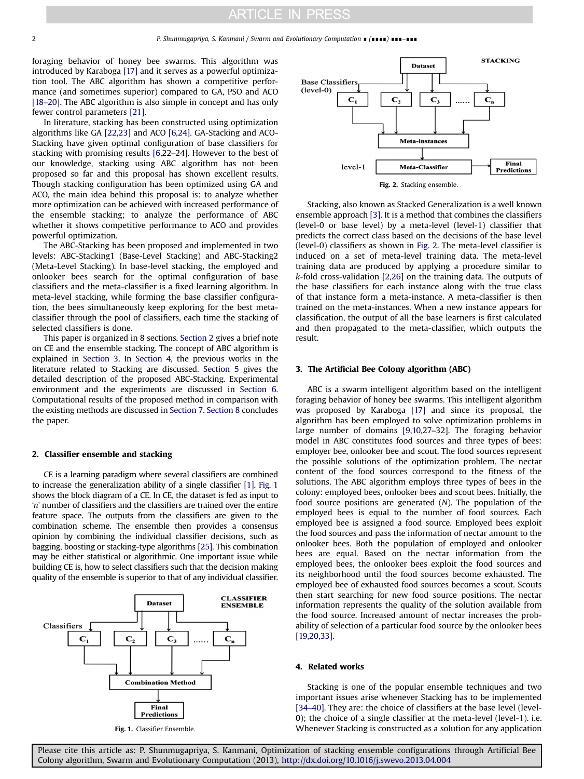### **ARTICLE IN PRESS**

foraging behavior of honey bee swarms. This algorithm was introduced by Karaboga [\[17\]](#page--1-0) and it serves as a powerful optimization tool. The ABC algorithm has shown a competitive performance (and sometimes superior) compared to GA, PSO and ACO [18–[20\]](#page--1-0). The ABC algorithm is also simple in concept and has only fewer control parameters [\[21\]](#page--1-0).

In literature, stacking has been constructed using optimization algorithms like GA [\[22](#page--1-0),[23](#page--1-0)] and ACO [\[6,24\]](#page--1-0). GA-Stacking and ACO-Stacking have given optimal configuration of base classifiers for stacking with promising results [\[6,](#page--1-0)22–24]. However to the best of our knowledge, stacking using ABC algorithm has not been proposed so far and this proposal has shown excellent results. Though stacking configuration has been optimized using GA and ACO, the main idea behind this proposal is: to analyze whether more optimization can be achieved with increased performance of the ensemble stacking; to analyze the performance of ABC whether it shows competitive performance to ACO and provides powerful optimization.

The ABC-Stacking has been proposed and implemented in two levels: ABC-Stacking1 (Base-Level Stacking) and ABC-Stacking2 (Meta-Level Stacking). In base-level stacking, the employed and onlooker bees search for the optimal configuration of base classifiers and the meta-classifier is a fixed learning algorithm. In meta-level stacking, while forming the base classifier configuration, the bees simultaneously keep exploring for the best metaclassifier through the pool of classifiers, each time the stacking of selected classifiers is done.

This paper is organized in 8 sections. Section 2 gives a brief note on CE and the ensemble stacking. The concept of ABC algorithm is explained in Section 3. In Section 4, the previous works in the literature related to Stacking are discussed. [Section 5](#page--1-0) gives the detailed description of the proposed ABC-Stacking. Experimental environment and the experiments are discussed in [Section 6.](#page--1-0) Computational results of the proposed method in comparison with the existing methods are discussed in [Section 7](#page--1-0). [Section 8](#page--1-0) concludes the paper.

#### 2. Classifier ensemble and stacking

CE is a learning paradigm where several classifiers are combined to increase the generalization ability of a single classifier [\[1\]](#page--1-0). Fig. 1 shows the block diagram of a CE. In CE, the dataset is fed as input to 'n' number of classifiers and the classifiers are trained over the entire feature space. The outputs from the classifiers are given to the combination scheme. The ensemble then provides a consensus opinion by combining the individual classifier decisions, such as bagging, boosting or stacking-type algorithms [\[25\].](#page--1-0) This combination may be either statistical or algorithmic. One important issue while building CE is, how to select classifiers such that the decision making quality of the ensemble is superior to that of any individual classifier.





Fig. 2. Stacking ensemble.

Stacking, also known as Stacked Generalization is a well known ensemble approach [\[3\]](#page--1-0). It is a method that combines the classifiers (level-0 or base level) by a meta-level (level-1) classifier that predicts the correct class based on the decisions of the base level (level-0) classifiers as shown in Fig. 2. The meta-level classifier is induced on a set of meta-level training data. The meta-level training data are produced by applying a procedure similar to k-fold cross-validation [\[2,26\]](#page--1-0) on the training data. The outputs of the base classifiers for each instance along with the true class of that instance form a meta-instance. A meta-classifier is then trained on the meta-instances. When a new instance appears for classification, the output of all the base learners is first calculated and then propagated to the meta-classifier, which outputs the result.

### 3. The Artificial Bee Colony algorithm (ABC)

ABC is a swarm intelligent algorithm based on the intelligent foraging behavior of honey bee swarms. This intelligent algorithm was proposed by Karaboga [\[17\]](#page--1-0) and since its proposal, the algorithm has been employed to solve optimization problems in large number of domains [\[9,10](#page--1-0),27–32]. The foraging behavior model in ABC constitutes food sources and three types of bees: employer bee, onlooker bee and scout. The food sources represent the possible solutions of the optimization problem. The nectar content of the food sources correspond to the fitness of the solutions. The ABC algorithm employs three types of bees in the colony: employed bees, onlooker bees and scout bees. Initially, the food source positions are generated (N). The population of the employed bees is equal to the number of food sources. Each employed bee is assigned a food source. Employed bees exploit the food sources and pass the information of nectar amount to the onlooker bees. Both the population of employed and onlooker bees are equal. Based on the nectar information from the employed bees, the onlooker bees exploit the food sources and its neighborhood until the food sources become exhausted. The employed bee of exhausted food sources becomes a scout. Scouts then start searching for new food source positions. The nectar information represents the quality of the solution available from the food source. Increased amount of nectar increases the probability of selection of a particular food source by the onlooker bees [\[19,20](#page--1-0),[33](#page--1-0)].

#### 4. Related works

Stacking is one of the popular ensemble techniques and two important issues arise whenever Stacking has to be implemented [34–[40\].](#page--1-0) They are: the choice of classifiers at the base level (level-0); the choice of a single classifier at the meta-level (level-1). i.e. Fig. 1. Classifier Ensemble. The Stacking is constructed as a solution for any application for any application

Please cite this article as: P. Shunmugapriya, S. Kanmani, Optimization of stacking ensemble configurations through Artificial Bee Colony algorithm, Swarm and Evolutionary Computation (2013), [http://dx.doi.org/10.1016/j.swevo.2013.04.004i](http://dx.doi.org/10.1016/j.swevo.2013.04.004)